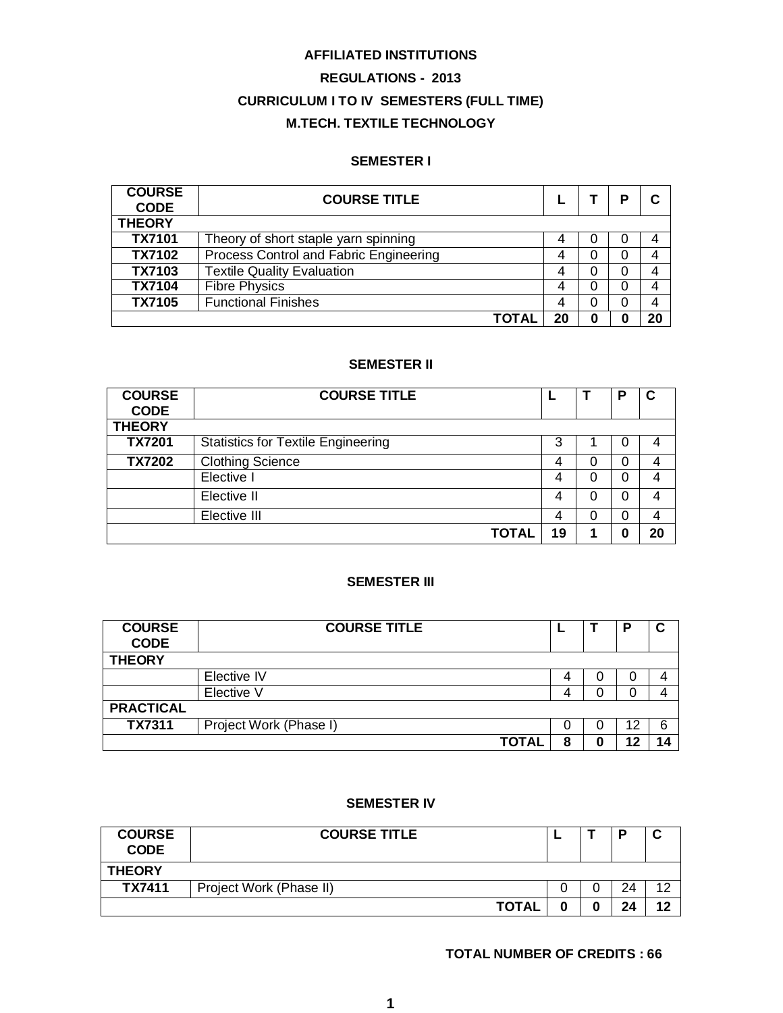# **AFFILIATED INSTITUTIONS**

# **REGULATIONS - 2013 CURRICULUM I TO IV SEMESTERS (FULL TIME) M.TECH. TEXTILE TECHNOLOGY**

# **SEMESTER I**

| <b>COURSE</b><br><b>CODE</b> | <b>COURSE TITLE</b>                    |    |   | P |    |
|------------------------------|----------------------------------------|----|---|---|----|
| <b>THEORY</b>                |                                        |    |   |   |    |
| <b>TX7101</b>                | Theory of short staple yarn spinning   | 4  |   | O | 4  |
| <b>TX7102</b>                | Process Control and Fabric Engineering | 4  |   | 0 | 4  |
| TX7103                       | <b>Textile Quality Evaluation</b>      | 4  |   | O | 4  |
| <b>TX7104</b>                | <b>Fibre Physics</b>                   | 4  |   | 0 | 4  |
| <b>TX7105</b>                | <b>Functional Finishes</b>             | 4  |   | 0 | 4  |
|                              | <b>TOTA</b>                            | 20 | 0 |   | 20 |

# **SEMESTER II**

| <b>COURSE</b><br><b>CODE</b> | <b>COURSE TITLE</b>                       |    |          | Р |    |
|------------------------------|-------------------------------------------|----|----------|---|----|
| <b>THEORY</b>                |                                           |    |          |   |    |
| <b>TX7201</b>                | <b>Statistics for Textile Engineering</b> | 3  |          | O |    |
| <b>TX7202</b>                | <b>Clothing Science</b>                   | 4  | 0        | 0 |    |
|                              | Elective I                                | 4  | 0        | 0 |    |
|                              | Elective II                               | 4  | $\Omega$ | 0 |    |
|                              | Elective III                              | 4  | 0        | 0 |    |
|                              | <b>TOTAL</b>                              | 19 |          | 0 | 20 |

# **SEMESTER III**

| <b>COURSE</b><br><b>CODE</b> | <b>COURSE TITLE</b>    |   |   | D  | C |
|------------------------------|------------------------|---|---|----|---|
| <b>THEORY</b>                |                        |   |   |    |   |
|                              | Elective IV            | 4 | U | U  |   |
|                              | Elective V             | 4 | 0 |    |   |
| <b>PRACTICAL</b>             |                        |   |   |    |   |
| <b>TX7311</b>                | Project Work (Phase I) | 0 | 0 | 12 | 6 |
|                              | <b>TOTAL</b>           | 8 |   |    |   |

# **SEMESTER IV**

| <b>COURSE</b><br><b>CODE</b> | <b>COURSE TITLE</b>     |  | o  |    |
|------------------------------|-------------------------|--|----|----|
| <b>THEORY</b>                |                         |  |    |    |
| TX7411                       | Project Work (Phase II) |  | 24 | ィっ |
|                              | <b>TOTAL</b>            |  | 24 | 12 |

# **TOTAL NUMBER OF CREDITS : 66**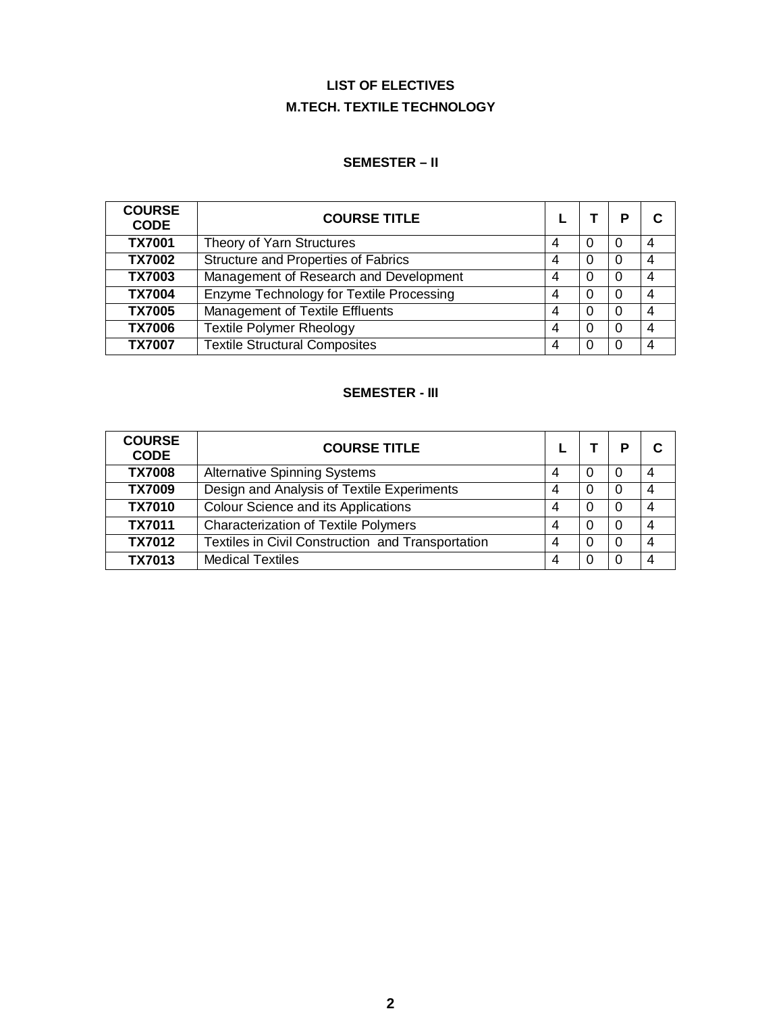# **LIST OF ELECTIVES M.TECH. TEXTILE TECHNOLOGY**

# **SEMESTER – II**

| <b>COURSE</b><br><b>CODE</b> | <b>COURSE TITLE</b>                      |   |          | P |   |
|------------------------------|------------------------------------------|---|----------|---|---|
| <b>TX7001</b>                | Theory of Yarn Structures                | 4 |          |   | 4 |
| <b>TX7002</b>                | Structure and Properties of Fabrics      | 4 | 0        |   | 4 |
| <b>TX7003</b>                | Management of Research and Development   | 4 | $\Omega$ |   | 4 |
| <b>TX7004</b>                | Enzyme Technology for Textile Processing | 4 | $\Omega$ | 0 | 4 |
| <b>TX7005</b>                | Management of Textile Effluents          | 4 | 0        | 0 | 4 |
| <b>TX7006</b>                | <b>Textile Polymer Rheology</b>          | 4 | 0        |   | 4 |
| <b>TX7007</b>                | <b>Textile Structural Composites</b>     | 4 |          |   | Δ |

# **SEMESTER - III**

| <b>COURSE</b><br><b>CODE</b> | <b>COURSE TITLE</b>                               |   | P |   |
|------------------------------|---------------------------------------------------|---|---|---|
| <b>TX7008</b>                | <b>Alternative Spinning Systems</b>               | 4 |   |   |
| <b>TX7009</b>                | Design and Analysis of Textile Experiments        | 4 |   |   |
| <b>TX7010</b>                | <b>Colour Science and its Applications</b>        | 4 |   |   |
| <b>TX7011</b>                | <b>Characterization of Textile Polymers</b>       | 4 |   | 4 |
| <b>TX7012</b>                | Textiles in Civil Construction and Transportation | Δ |   |   |
| <b>TX7013</b>                | <b>Medical Textiles</b>                           |   |   |   |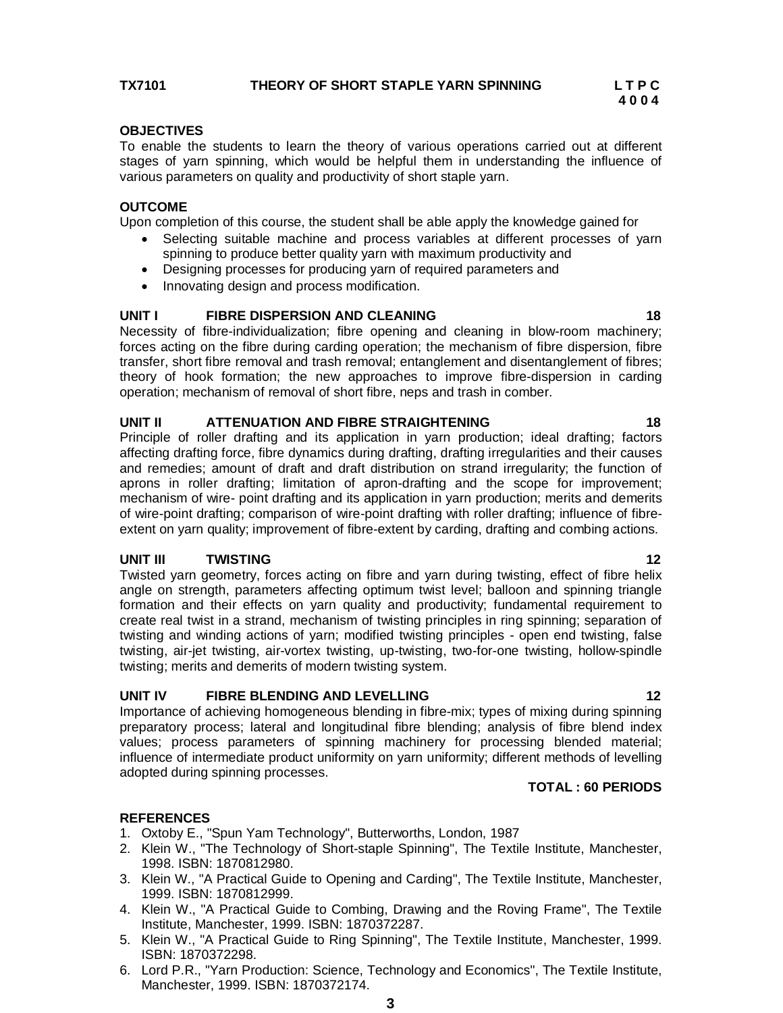To enable the students to learn the theory of various operations carried out at different stages of yarn spinning, which would be helpful them in understanding the influence of various parameters on quality and productivity of short staple yarn.

# **OUTCOME**

Upon completion of this course, the student shall be able apply the knowledge gained for

- Selecting suitable machine and process variables at different processes of yarn spinning to produce better quality yarn with maximum productivity and
- Designing processes for producing yarn of required parameters and
- Innovating design and process modification.

# **UNIT I FIBRE DISPERSION AND CLEANING 18**

Necessity of fibre-individualization; fibre opening and cleaning in blow-room machinery; forces acting on the fibre during carding operation; the mechanism of fibre dispersion, fibre transfer, short fibre removal and trash removal; entanglement and disentanglement of fibres; theory of hook formation; the new approaches to improve fibre-dispersion in carding operation; mechanism of removal of short fibre, neps and trash in comber.

# **UNIT II ATTENUATION AND FIBRE STRAIGHTENING 18**

Principle of roller drafting and its application in yarn production; ideal drafting; factors affecting drafting force, fibre dynamics during drafting, drafting irregularities and their causes and remedies; amount of draft and draft distribution on strand irregularity; the function of aprons in roller drafting; limitation of apron-drafting and the scope for improvement; mechanism of wire- point drafting and its application in yarn production; merits and demerits of wire-point drafting; comparison of wire-point drafting with roller drafting; influence of fibreextent on yarn quality; improvement of fibre-extent by carding, drafting and combing actions.

# **UNIT III TWISTING 12**

Twisted yarn geometry, forces acting on fibre and yarn during twisting, effect of fibre helix angle on strength, parameters affecting optimum twist level; balloon and spinning triangle formation and their effects on yarn quality and productivity; fundamental requirement to create real twist in a strand, mechanism of twisting principles in ring spinning; separation of twisting and winding actions of yarn; modified twisting principles - open end twisting, false twisting, air-jet twisting, air-vortex twisting, up-twisting, two-for-one twisting, hollow-spindle twisting; merits and demerits of modern twisting system.

# **UNIT IV FIBRE BLENDING AND LEVELLING 12**

Importance of achieving homogeneous blending in fibre-mix; types of mixing during spinning preparatory process; lateral and longitudinal fibre blending; analysis of fibre blend index values; process parameters of spinning machinery for processing blended material; influence of intermediate product uniformity on yarn uniformity; different methods of levelling adopted during spinning processes.

# **TOTAL : 60 PERIODS**

- 1. Oxtoby E., "Spun Yam Technology", Butterworths, London, 1987
- 2. Klein W., "The Technology of Short-staple Spinning", The Textile Institute, Manchester, 1998. ISBN: 1870812980.
- 3. Klein W., "A Practical Guide to Opening and Carding", The Textile Institute, Manchester, 1999. ISBN: 1870812999.
- 4. Klein W., "A Practical Guide to Combing, Drawing and the Roving Frame", The Textile Institute, Manchester, 1999. ISBN: 1870372287.
- 5. Klein W., "A Practical Guide to Ring Spinning", The Textile Institute, Manchester, 1999. ISBN: 1870372298.
- 6. Lord P.R., "Yarn Production: Science, Technology and Economics", The Textile Institute, Manchester, 1999. ISBN: 1870372174.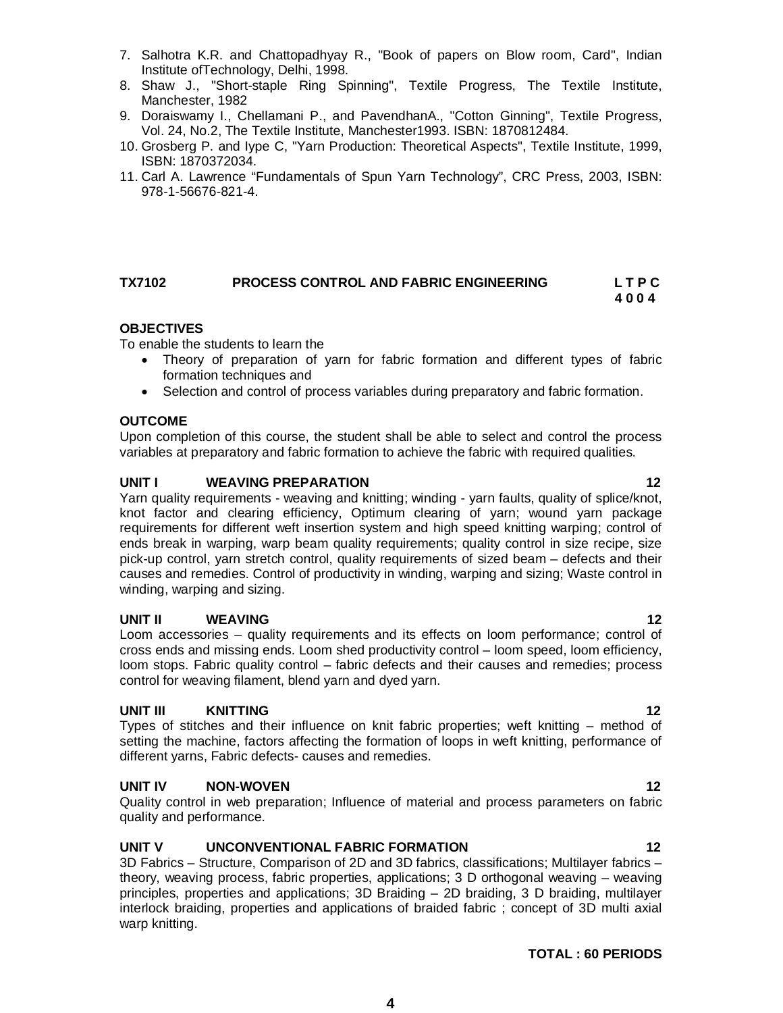**TOTAL : 60 PERIODS**

- 
- To enable the students to learn the Theory of preparation of yarn for fabric formation and different types of fabric formation techniques and
	- Selection and control of process variables during preparatory and fabric formation.

# **OUTCOME**

**OBJECTIVES**

Upon completion of this course, the student shall be able to select and control the process variables at preparatory and fabric formation to achieve the fabric with required qualities.

# **UNIT I WEAVING PREPARATION 12**

Yarn quality requirements - weaving and knitting; winding - yarn faults, quality of splice/knot, knot factor and clearing efficiency, Optimum clearing of yarn; wound yarn package requirements for different weft insertion system and high speed knitting warping; control of ends break in warping, warp beam quality requirements; quality control in size recipe, size pick-up control, yarn stretch control, quality requirements of sized beam – defects and their causes and remedies. Control of productivity in winding, warping and sizing; Waste control in winding, warping and sizing.

# **UNIT II WEAVING 12**

Loom accessories – quality requirements and its effects on loom performance; control of cross ends and missing ends. Loom shed productivity control – loom speed, loom efficiency, loom stops. Fabric quality control – fabric defects and their causes and remedies; process control for weaving filament, blend yarn and dyed yarn.

# **UNIT III KNITTING 12**

Types of stitches and their influence on knit fabric properties; weft knitting – method of setting the machine, factors affecting the formation of loops in weft knitting, performance of different yarns, Fabric defects- causes and remedies.

# **UNIT IV NON-WOVEN 12**

Quality control in web preparation; Influence of material and process parameters on fabric quality and performance.

# **UNIT V UNCONVENTIONAL FABRIC FORMATION 12**

3D Fabrics – Structure, Comparison of 2D and 3D fabrics, classifications; Multilayer fabrics – theory, weaving process, fabric properties, applications; 3 D orthogonal weaving – weaving principles, properties and applications; 3D Braiding – 2D braiding, 3 D braiding, multilayer interlock braiding, properties and applications of braided fabric ; concept of 3D multi axial warp knitting.

**4**

# 7. Salhotra K.R. and Chattopadhyay R., "Book of papers on Blow room, Card", Indian

- Institute ofTechnology, Delhi, 1998. 8. Shaw J., "Short-staple Ring Spinning", Textile Progress, The Textile Institute, Manchester, 1982
- 9. Doraiswamy I., Chellamani P., and PavendhanA., "Cotton Ginning", Textile Progress, Vol. 24, No.2, The Textile Institute, Manchester1993. ISBN: 1870812484.
- 10. Grosberg P. and Iype C, "Yarn Production: Theoretical Aspects", Textile Institute, 1999, ISBN: 1870372034.
- 11. Carl A. Lawrence "Fundamentals of Spun Yarn Technology", CRC Press, 2003, ISBN: 978-1-56676-821-4.

**TX7102 PROCESS CONTROL AND FABRIC ENGINEERING L T P C**

 **4 0 0 4**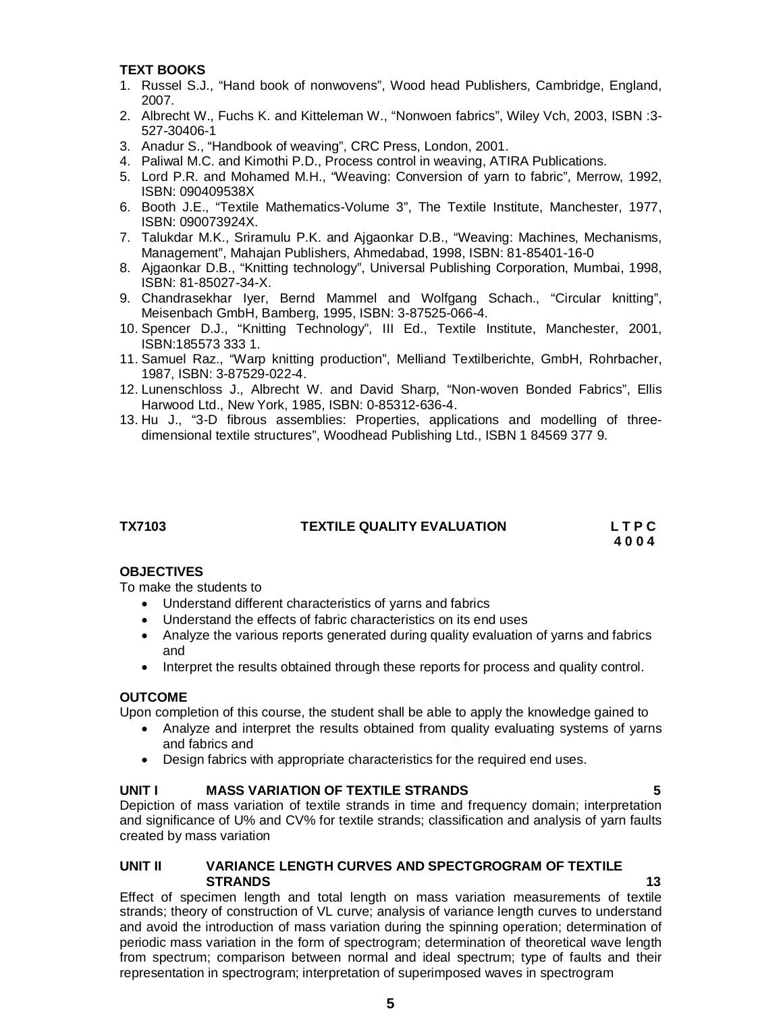# **TEXT BOOKS**

- 1. Russel S.J., "Hand book of nonwovens", Wood head Publishers, Cambridge, England, 2007.
- 2. Albrecht W., Fuchs K. and Kitteleman W., "Nonwoen fabrics", Wiley Vch, 2003, ISBN :3- 527-30406-1
- 3. Anadur S., "Handbook of weaving", CRC Press, London, 2001.
- 4. Paliwal M.C. and Kimothi P.D., Process control in weaving, ATIRA Publications.
- 5. Lord P.R. and Mohamed M.H., "Weaving: Conversion of yarn to fabric", Merrow, 1992, ISBN: 090409538X
- 6. Booth J.E., "Textile Mathematics-Volume 3", The Textile Institute, Manchester, 1977, ISBN: 090073924X.
- 7. Talukdar M.K., Sriramulu P.K. and Ajgaonkar D.B., "Weaving: Machines, Mechanisms, Management", Mahajan Publishers, Ahmedabad, 1998, ISBN: 81-85401-16-0
- 8. Ajgaonkar D.B., "Knitting technology", Universal Publishing Corporation, Mumbai, 1998, ISBN: 81-85027-34-X.
- 9. Chandrasekhar Iyer, Bernd Mammel and Wolfgang Schach., "Circular knitting", Meisenbach GmbH, Bamberg, 1995, ISBN: 3-87525-066-4.
- 10. Spencer D.J., "Knitting Technology", III Ed., Textile Institute, Manchester, 2001, ISBN:185573 333 1.
- 11. Samuel Raz., "Warp knitting production", Melliand Textilberichte, GmbH, Rohrbacher, 1987, ISBN: 3-87529-022-4.
- 12. Lunenschloss J., Albrecht W. and David Sharp, "Non-woven Bonded Fabrics", Ellis Harwood Ltd., New York, 1985, ISBN: 0-85312-636-4.
- 13. Hu J., "3-D fibrous assemblies: Properties, applications and modelling of threedimensional textile structures", Woodhead Publishing Ltd., ISBN 1 84569 377 9.

# **TX7103 TEXTILE QUALITY EVALUATION L T P C**

 **4 0 0 4**

# **OBJECTIVES**

To make the students to

- Understand different characteristics of yarns and fabrics
- Understand the effects of fabric characteristics on its end uses
- Analyze the various reports generated during quality evaluation of yarns and fabrics and
- Interpret the results obtained through these reports for process and quality control.

# **OUTCOME**

Upon completion of this course, the student shall be able to apply the knowledge gained to

- Analyze and interpret the results obtained from quality evaluating systems of yarns and fabrics and
- Design fabrics with appropriate characteristics for the required end uses.

# **UNIT I MASS VARIATION OF TEXTILE STRANDS 5**

Depiction of mass variation of textile strands in time and frequency domain; interpretation and significance of U% and CV% for textile strands; classification and analysis of yarn faults created by mass variation

# **UNIT II VARIANCE LENGTH CURVES AND SPECTGROGRAM OF TEXTILE STRANDS 13**

Effect of specimen length and total length on mass variation measurements of textile strands; theory of construction of VL curve; analysis of variance length curves to understand and avoid the introduction of mass variation during the spinning operation; determination of periodic mass variation in the form of spectrogram; determination of theoretical wave length from spectrum; comparison between normal and ideal spectrum; type of faults and their representation in spectrogram; interpretation of superimposed waves in spectrogram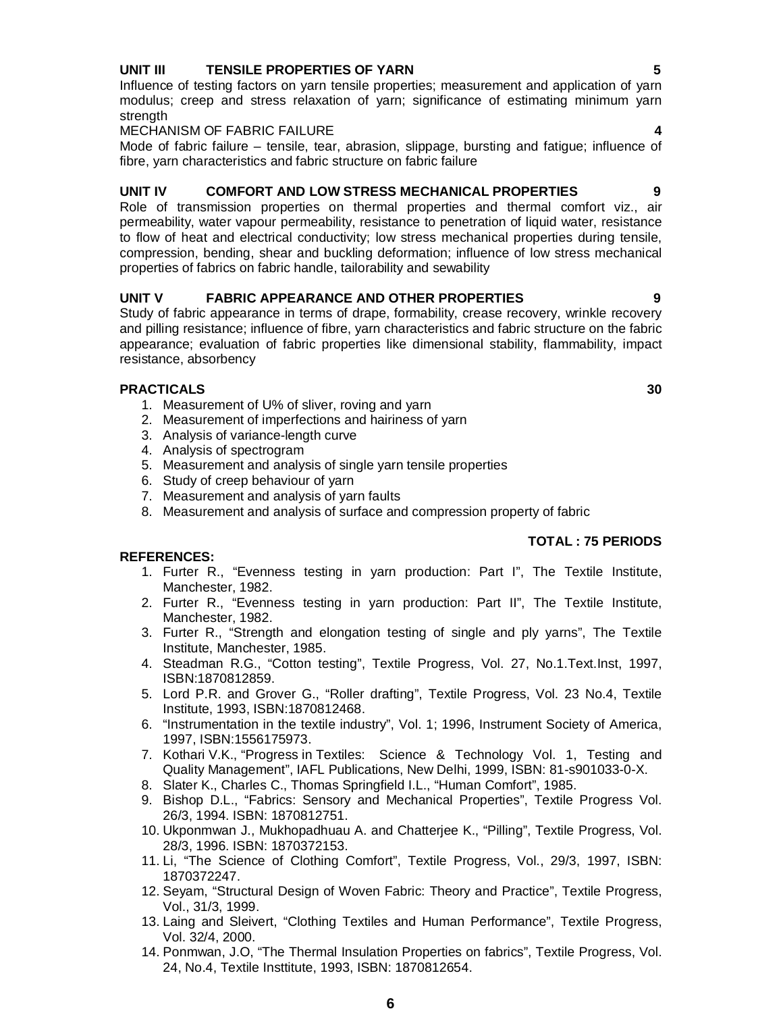# **UNIT III TENSILE PROPERTIES OF YARN 5**

Influence of testing factors on yarn tensile properties; measurement and application of yarn modulus; creep and stress relaxation of yarn; significance of estimating minimum yarn strength

**MECHANISM OF FABRIC FAILURE** 

Mode of fabric failure – tensile, tear, abrasion, slippage, bursting and fatigue; influence of fibre, yarn characteristics and fabric structure on fabric failure

# **UNIT IV COMFORT AND LOW STRESS MECHANICAL PROPERTIES 9**

Role of transmission properties on thermal properties and thermal comfort viz., air permeability, water vapour permeability, resistance to penetration of liquid water, resistance to flow of heat and electrical conductivity; low stress mechanical properties during tensile, compression, bending, shear and buckling deformation; influence of low stress mechanical properties of fabrics on fabric handle, tailorability and sewability

# **UNIT V FABRIC APPEARANCE AND OTHER PROPERTIES 9**

Study of fabric appearance in terms of drape, formability, crease recovery, wrinkle recovery and pilling resistance; influence of fibre, yarn characteristics and fabric structure on the fabric appearance; evaluation of fabric properties like dimensional stability, flammability, impact resistance, absorbency

# **PRACTICALS 30**

- 1. Measurement of U% of sliver, roving and yarn
- 2. Measurement of imperfections and hairiness of yarn
- 3. Analysis of variance-length curve
- 4. Analysis of spectrogram
- 5. Measurement and analysis of single yarn tensile properties
- 6. Study of creep behaviour of yarn
- 7. Measurement and analysis of yarn faults
- 8. Measurement and analysis of surface and compression property of fabric

# **TOTAL : 75 PERIODS**

- 1. Furter R., "Evenness testing in yarn production: Part I", The Textile Institute, Manchester, 1982.
- 2. Furter R., "Evenness testing in yarn production: Part II", The Textile Institute, Manchester, 1982.
- 3. Furter R., "Strength and elongation testing of single and ply yarns", The Textile Institute, Manchester, 1985.
- 4. Steadman R.G., "Cotton testing", Textile Progress, Vol. 27, No.1.Text.Inst, 1997, ISBN:1870812859.
- 5. Lord P.R. and Grover G., "Roller drafting", Textile Progress, Vol. 23 No.4, Textile Institute, 1993, ISBN:1870812468.
- 6. "Instrumentation in the textile industry", Vol. 1; 1996, Instrument Society of America, 1997, ISBN:1556175973.
- 7. Kothari V.K., "Progress in Textiles: Science & Technology Vol. 1, Testing and Quality Management", IAFL Publications, New Delhi, 1999, ISBN: 81-s901033-0-X.
- 8. Slater K., Charles C., Thomas Springfield I.L., "Human Comfort", 1985.
- 9. Bishop D.L., "Fabrics: Sensory and Mechanical Properties", Textile Progress Vol. 26/3, 1994. ISBN: 1870812751.
- 10. Ukponmwan J., Mukhopadhuau A. and Chatterjee K., "Pilling", Textile Progress, Vol. 28/3, 1996. ISBN: 1870372153.
- 11. Li, "The Science of Clothing Comfort", Textile Progress, Vol., 29/3, 1997, ISBN: 1870372247.
- 12. Seyam, "Structural Design of Woven Fabric: Theory and Practice", Textile Progress, Vol., 31/3, 1999.
- 13. Laing and Sleivert, "Clothing Textiles and Human Performance", Textile Progress, Vol. 32/4, 2000.
- 14. Ponmwan, J.O, "The Thermal Insulation Properties on fabrics", Textile Progress, Vol. 24, No.4, Textile Insttitute, 1993, ISBN: 1870812654.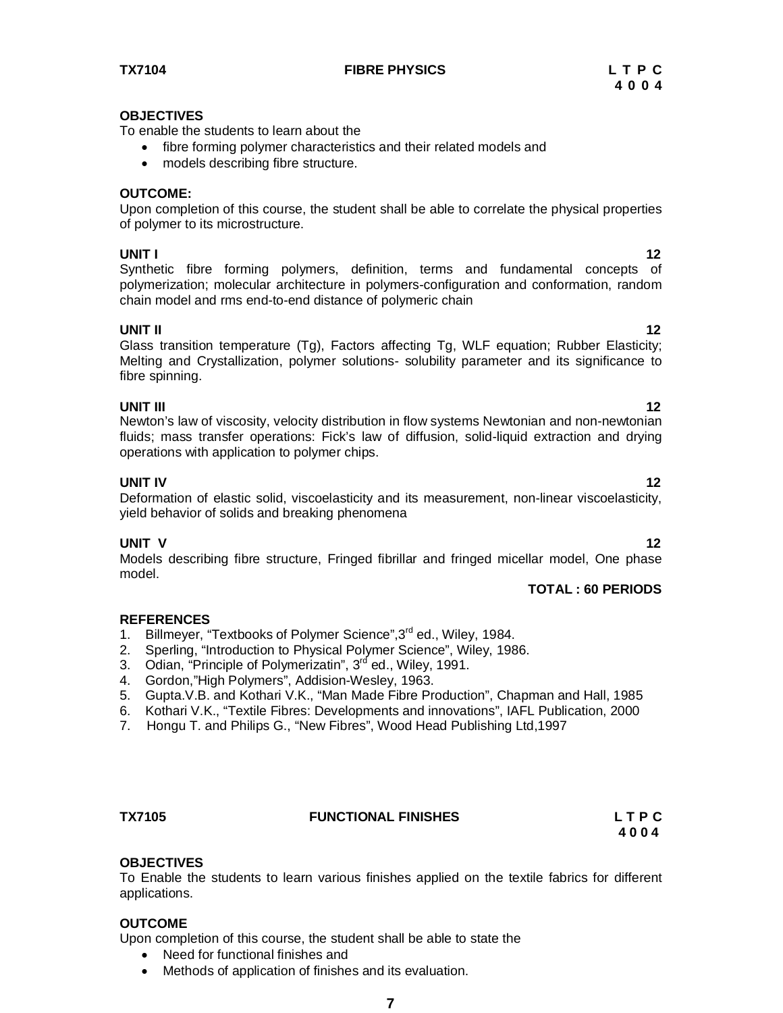**TX7104 FIBRE PHYSICS L T P C**

### **OBJECTIVES**

To enable the students to learn about the

- fibre forming polymer characteristics and their related models and
- models describing fibre structure.

# **OUTCOME:**

Upon completion of this course, the student shall be able to correlate the physical properties of polymer to its microstructure.

**UNIT I** 122 **I** Synthetic fibre forming polymers, definition, terms and fundamental concepts of polymerization; molecular architecture in polymers-configuration and conformation, random chain model and rms end-to-end distance of polymeric chain

# **UNIT II** 12

Glass transition temperature (Tg), Factors affecting Tg, WLF equation; Rubber Elasticity; Melting and Crystallization, polymer solutions- solubility parameter and its significance to fibre spinning.

**UNIT III** 12 Newton's law of viscosity, velocity distribution in flow systems Newtonian and non-newtonian fluids; mass transfer operations: Fick's law of diffusion, solid-liquid extraction and drying operations with application to polymer chips.

**UNIT IV** 12 Deformation of elastic solid, viscoelasticity and its measurement, non-linear viscoelasticity, yield behavior of solids and breaking phenomena

# **UNIT V** 12

Models describing fibre structure, Fringed fibrillar and fringed micellar model, One phase model.

# **TOTAL : 60 PERIODS**

# **REFERENCES**

- 1. Billmeyer, "Textbooks of Polymer Science", 3rd ed., Wiley, 1984.
- 2. Sperling, "Introduction to Physical Polymer Science", Wiley, 1986.
- 3. Odian, "Principle of Polymerizatin", 3<sup>rd</sup> ed., Wiley, 1991.
- 4. Gordon,"High Polymers", Addision-Wesley, 1963.
- 5. Gupta.V.B. and Kothari V.K., "Man Made Fibre Production", Chapman and Hall, 1985
- 6. Kothari V.K., "Textile Fibres: Developments and innovations", IAFL Publication, 2000
- 7. Hongu T. and Philips G., "New Fibres", Wood Head Publishing Ltd,1997

### **TX7105 FUNCTIONAL FINISHES L T P C**

 **4 0 0 4**

# **OBJECTIVES**

To Enable the students to learn various finishes applied on the textile fabrics for different applications.

# **OUTCOME**

Upon completion of this course, the student shall be able to state the

- Need for functional finishes and
- Methods of application of finishes and its evaluation.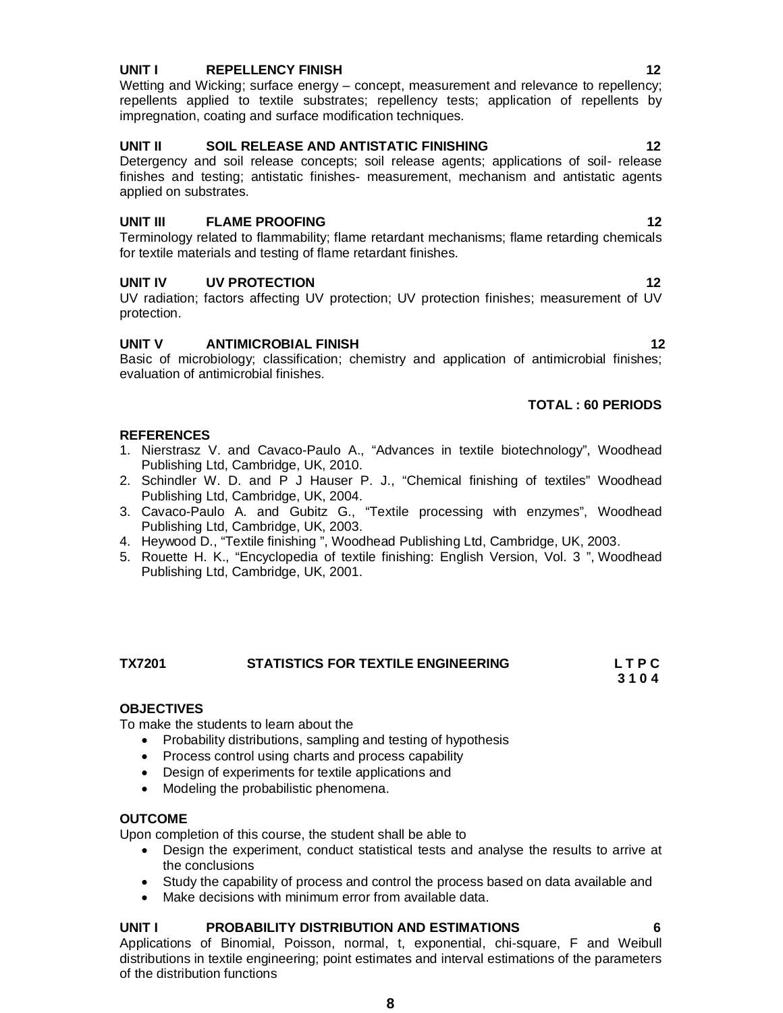# **UNIT I** REPELLENCY FINISH **12**

Wetting and Wicking; surface energy – concept, measurement and relevance to repellency; repellents applied to textile substrates; repellency tests; application of repellents by impregnation, coating and surface modification techniques.

# **UNIT II SOIL RELEASE AND ANTISTATIC FINISHING 12**

Detergency and soil release concepts; soil release agents; applications of soil- release finishes and testing; antistatic finishes- measurement, mechanism and antistatic agents applied on substrates.

# **UNIT III FLAME PROOFING** 12

Terminology related to flammability; flame retardant mechanisms; flame retarding chemicals for textile materials and testing of flame retardant finishes.

# **UNIT IV BY PROTECTION 12**

UV radiation; factors affecting UV protection; UV protection finishes; measurement of UV protection.

# **UNIT V ANTIMICROBIAL FINISH 12**

Basic of microbiology; classification; chemistry and application of antimicrobial finishes; evaluation of antimicrobial finishes.

# **TOTAL : 60 PERIODS**

# **REFERENCES**

- 1. Nierstrasz V. and Cavaco-Paulo A., "Advances in textile biotechnology", Woodhead Publishing Ltd, Cambridge, UK, 2010.
- 2. Schindler W. D. and P J Hauser P. J., "Chemical finishing of textiles" Woodhead Publishing Ltd, Cambridge, UK, 2004.
- 3. Cavaco-Paulo A. and Gubitz G., "Textile processing with enzymes", Woodhead Publishing Ltd, Cambridge, UK, 2003.
- 4. Heywood D., "Textile finishing ", Woodhead Publishing Ltd, Cambridge, UK, 2003.
- 5. Rouette H. K., "Encyclopedia of textile finishing: English Version, Vol. 3 ", Woodhead Publishing Ltd, Cambridge, UK, 2001.

### **TX7201 STATISTICS FOR TEXTILE ENGINEERING L T P C 3 1 0 4**

# **OBJECTIVES**

To make the students to learn about the

- Probability distributions, sampling and testing of hypothesis
- Process control using charts and process capability
- Design of experiments for textile applications and
- Modeling the probabilistic phenomena.

# **OUTCOME**

Upon completion of this course, the student shall be able to

- Design the experiment, conduct statistical tests and analyse the results to arrive at the conclusions
- Study the capability of process and control the process based on data available and
- Make decisions with minimum error from available data.

# **UNIT I PROBABILITY DISTRIBUTION AND ESTIMATIONS 6**

Applications of Binomial, Poisson, normal, t, exponential, chi-square, F and Weibull distributions in textile engineering; point estimates and interval estimations of the parameters of the distribution functions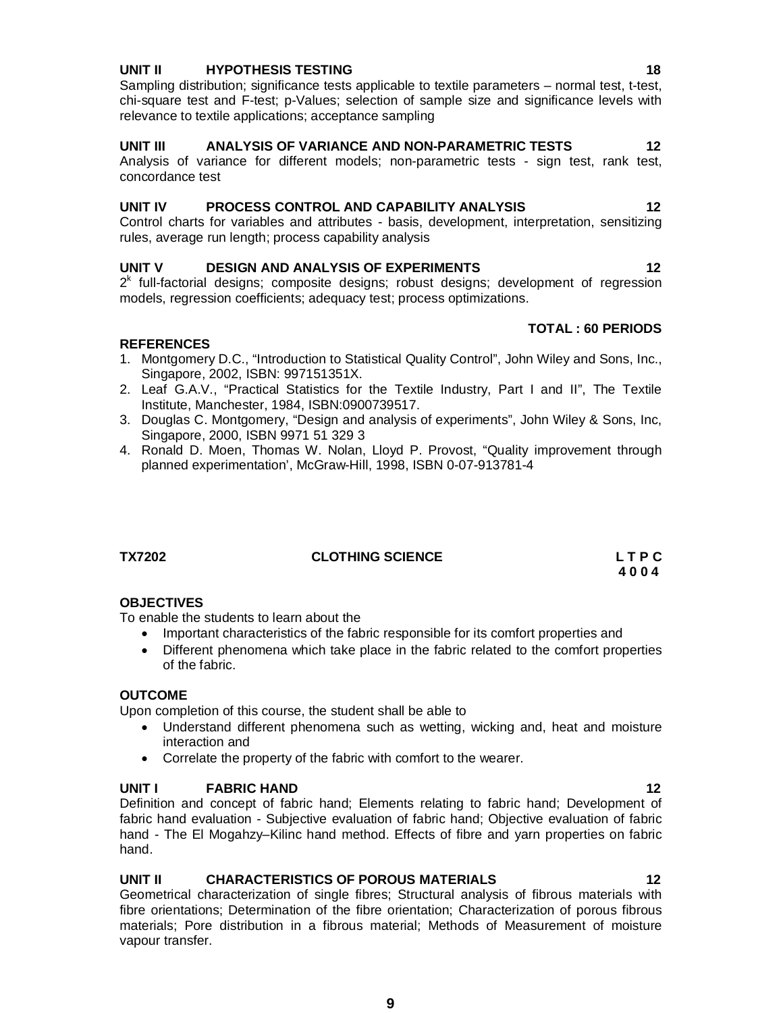# **UNIT II HYPOTHESIS TESTING 18**

Sampling distribution; significance tests applicable to textile parameters – normal test, t-test, chi-square test and F-test; p-Values; selection of sample size and significance levels with relevance to textile applications; acceptance sampling

# **UNIT III ANALYSIS OF VARIANCE AND NON-PARAMETRIC TESTS 12**

Analysis of variance for different models; non-parametric tests - sign test, rank test, concordance test

# **UNIT IV PROCESS CONTROL AND CAPABILITY ANALYSIS 12**

Control charts for variables and attributes - basis, development, interpretation, sensitizing rules, average run length; process capability analysis

# **UNIT V DESIGN AND ANALYSIS OF EXPERIMENTS 12**

 $2<sup>k</sup>$  full-factorial designs; composite designs; robust designs; development of regression models, regression coefficients; adequacy test; process optimizations.

# **REFERENCES**

- 1. Montgomery D.C., "Introduction to Statistical Quality Control", John Wiley and Sons, Inc., Singapore, 2002, ISBN: 997151351X.
- 2. Leaf G.A.V., "Practical Statistics for the Textile Industry, Part I and II", The Textile Institute, Manchester, 1984, ISBN:0900739517.
- 3. Douglas C. Montgomery, "Design and analysis of experiments", John Wiley & Sons, Inc, Singapore, 2000, ISBN 9971 51 329 3
- 4. Ronald D. Moen, Thomas W. Nolan, Lloyd P. Provost, "Quality improvement through planned experimentation', McGraw-Hill, 1998, ISBN 0-07-913781-4

**TX7202 CLOTHING SCIENCE L T P C**

# **OBJECTIVES**

To enable the students to learn about the

- Important characteristics of the fabric responsible for its comfort properties and
- Different phenomena which take place in the fabric related to the comfort properties of the fabric.

 **4 0 0 4**

# **OUTCOME**

Upon completion of this course, the student shall be able to

- Understand different phenomena such as wetting, wicking and, heat and moisture interaction and
- Correlate the property of the fabric with comfort to the wearer.

### **UNIT I FABRIC HAND** 12

Definition and concept of fabric hand; Elements relating to fabric hand; Development of fabric hand evaluation - Subjective evaluation of fabric hand; Objective evaluation of fabric hand - The El Mogahzy–Kilinc hand method. Effects of fibre and yarn properties on fabric hand.

# **UNIT II CHARACTERISTICS OF POROUS MATERIALS 12**

Geometrical characterization of single fibres; Structural analysis of fibrous materials with fibre orientations; Determination of the fibre orientation; Characterization of porous fibrous materials; Pore distribution in a fibrous material; Methods of Measurement of moisture vapour transfer.

**TOTAL : 60 PERIODS**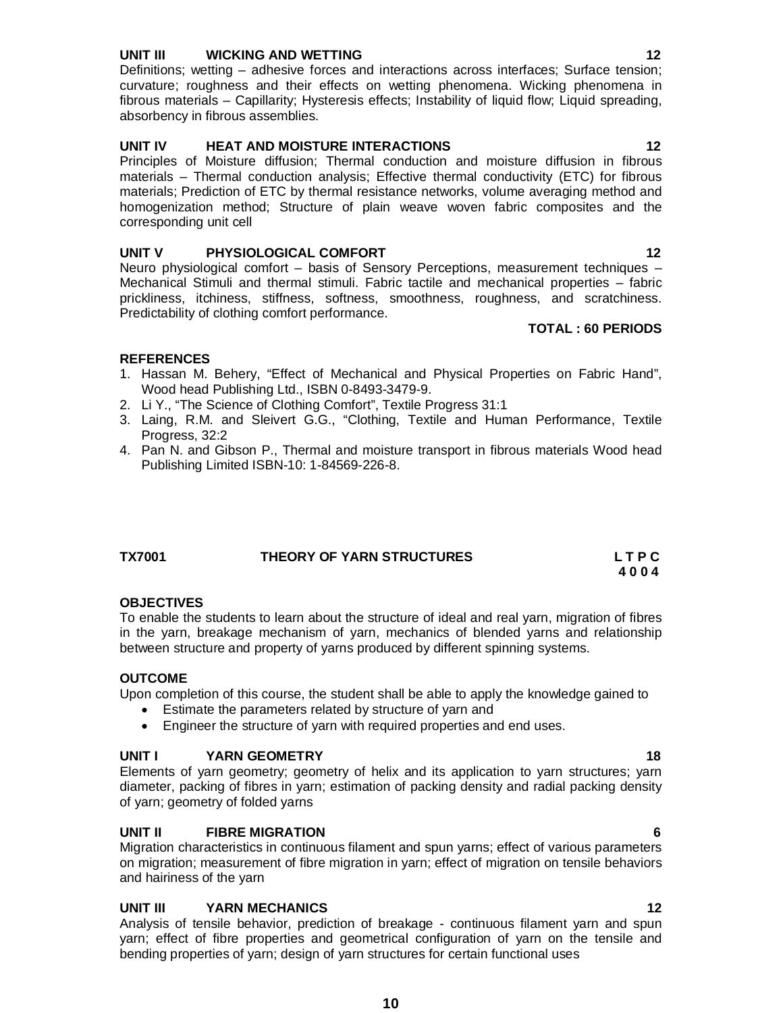# **UNIT III WICKING AND WETTING 12**

Definitions; wetting – adhesive forces and interactions across interfaces; Surface tension; curvature; roughness and their effects on wetting phenomena. Wicking phenomena in fibrous materials – Capillarity; Hysteresis effects; Instability of liquid flow; Liquid spreading, absorbency in fibrous assemblies.

# **UNIT IV HEAT AND MOISTURE INTERACTIONS 12**

Principles of Moisture diffusion; Thermal conduction and moisture diffusion in fibrous materials – Thermal conduction analysis; Effective thermal conductivity (ETC) for fibrous materials; Prediction of ETC by thermal resistance networks, volume averaging method and homogenization method; Structure of plain weave woven fabric composites and the corresponding unit cell

# **UNIT V PHYSIOLOGICAL COMFORT 12**

Neuro physiological comfort – basis of Sensory Perceptions, measurement techniques – Mechanical Stimuli and thermal stimuli. Fabric tactile and mechanical properties – fabric prickliness, itchiness, stiffness, softness, smoothness, roughness, and scratchiness. Predictability of clothing comfort performance.

# **TOTAL : 60 PERIODS**

# **REFERENCES**

- 1. Hassan M. Behery, "Effect of Mechanical and Physical Properties on Fabric Hand", Wood head Publishing Ltd., ISBN 0-8493-3479-9.
- 2. Li Y., "The Science of Clothing Comfort", Textile Progress 31:1
- 3. Laing, R.M. and Sleivert G.G., "Clothing, Textile and Human Performance, Textile Progress, 32:2
- 4. Pan N. and Gibson P., Thermal and moisture transport in fibrous materials Wood head Publishing Limited ISBN-10: 1-84569-226-8.

| <b>TX7001</b> | THEORY OF YARN STRUCTURES | LTPC |
|---------------|---------------------------|------|
|               |                           | 4004 |

# **OBJECTIVES**

To enable the students to learn about the structure of ideal and real yarn, migration of fibres in the yarn, breakage mechanism of yarn, mechanics of blended yarns and relationship between structure and property of yarns produced by different spinning systems.

# **OUTCOME**

Upon completion of this course, the student shall be able to apply the knowledge gained to

- Estimate the parameters related by structure of yarn and
- Engineer the structure of yarn with required properties and end uses.

# **UNIT I YARN GEOMETRY 18**

Elements of yarn geometry; geometry of helix and its application to yarn structures; yarn diameter, packing of fibres in yarn; estimation of packing density and radial packing density of yarn; geometry of folded yarns

# **UNIT II FIBRE MIGRATION 6**

Migration characteristics in continuous filament and spun yarns; effect of various parameters on migration; measurement of fibre migration in yarn; effect of migration on tensile behaviors and hairiness of the yarn

# **UNIT III YARN MECHANICS 12**

Analysis of tensile behavior, prediction of breakage - continuous filament yarn and spun yarn; effect of fibre properties and geometrical configuration of yarn on the tensile and bending properties of yarn; design of yarn structures for certain functional uses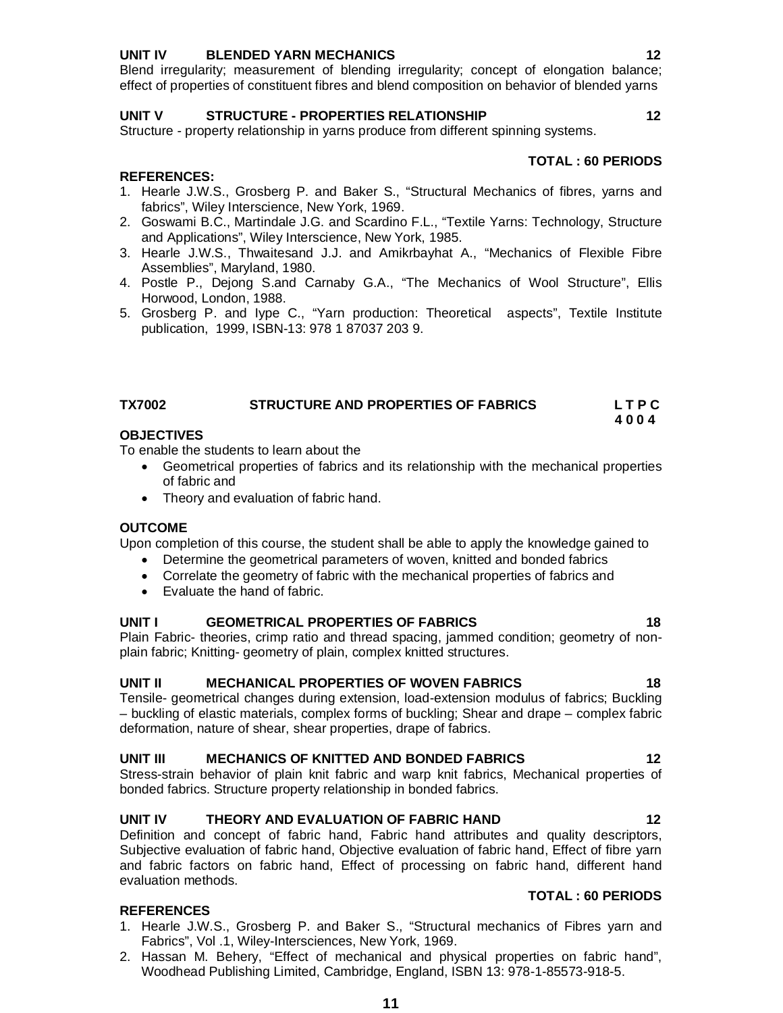# **UNIT IV BLENDED YARN MECHANICS 12**

Blend irregularity; measurement of blending irregularity; concept of elongation balance; effect of properties of constituent fibres and blend composition on behavior of blended yarns

# **UNIT V STRUCTURE - PROPERTIES RELATIONSHIP 12**

Structure - property relationship in yarns produce from different spinning systems.

# **TOTAL : 60 PERIODS**

**TOTAL : 60 PERIODS** 

- **REFERENCES:**
- 1. Hearle J.W.S., Grosberg P. and Baker S., "Structural Mechanics of fibres, yarns and fabrics", Wiley Interscience, New York, 1969.
- 2. Goswami B.C., Martindale J.G. and Scardino F.L., "Textile Yarns: Technology, Structure and Applications", Wiley Interscience, New York, 1985.
- 3. Hearle J.W.S., Thwaitesand J.J. and Amikrbayhat A., "Mechanics of Flexible Fibre Assemblies", Maryland, 1980.
- 4. Postle P., Dejong S.and Carnaby G.A., "The Mechanics of Wool Structure", Ellis Horwood, London, 1988.
- 5. Grosberg P. and Iype C., "Yarn production: Theoretical aspects", Textile Institute publication, 1999, ISBN-13: 978 1 87037 203 9.

# **TX7002 STRUCTURE AND PROPERTIES OF FABRICS L T P C**

### **4 0 0 4 OBJECTIVES**

To enable the students to learn about the

- Geometrical properties of fabrics and its relationship with the mechanical properties of fabric and
- Theory and evaluation of fabric hand.

### **OUTCOME**

Upon completion of this course, the student shall be able to apply the knowledge gained to

- Determine the geometrical parameters of woven, knitted and bonded fabrics
- Correlate the geometry of fabric with the mechanical properties of fabrics and
- Evaluate the hand of fabric.

# **UNIT I GEOMETRICAL PROPERTIES OF FABRICS 18**

Plain Fabric- theories, crimp ratio and thread spacing, jammed condition; geometry of nonplain fabric; Knitting- geometry of plain, complex knitted structures.

# **UNIT II MECHANICAL PROPERTIES OF WOVEN FABRICS 18**

Tensile- geometrical changes during extension, load-extension modulus of fabrics; Buckling – buckling of elastic materials, complex forms of buckling; Shear and drape – complex fabric deformation, nature of shear, shear properties, drape of fabrics.

# **UNIT III MECHANICS OF KNITTED AND BONDED FABRICS 12**

Stress-strain behavior of plain knit fabric and warp knit fabrics, Mechanical properties of bonded fabrics. Structure property relationship in bonded fabrics.

### **UNIT IV THEORY AND EVALUATION OF FABRIC HAND 12**

Definition and concept of fabric hand, Fabric hand attributes and quality descriptors, Subjective evaluation of fabric hand, Objective evaluation of fabric hand, Effect of fibre yarn and fabric factors on fabric hand, Effect of processing on fabric hand, different hand evaluation methods.

- 1. Hearle J.W.S., Grosberg P. and Baker S., "Structural mechanics of Fibres yarn and Fabrics", Vol .1, Wiley-Intersciences, New York, 1969.
- 2. Hassan M. Behery, "Effect of mechanical and physical properties on fabric hand", Woodhead Publishing Limited, Cambridge, England, ISBN 13: 978-1-85573-918-5.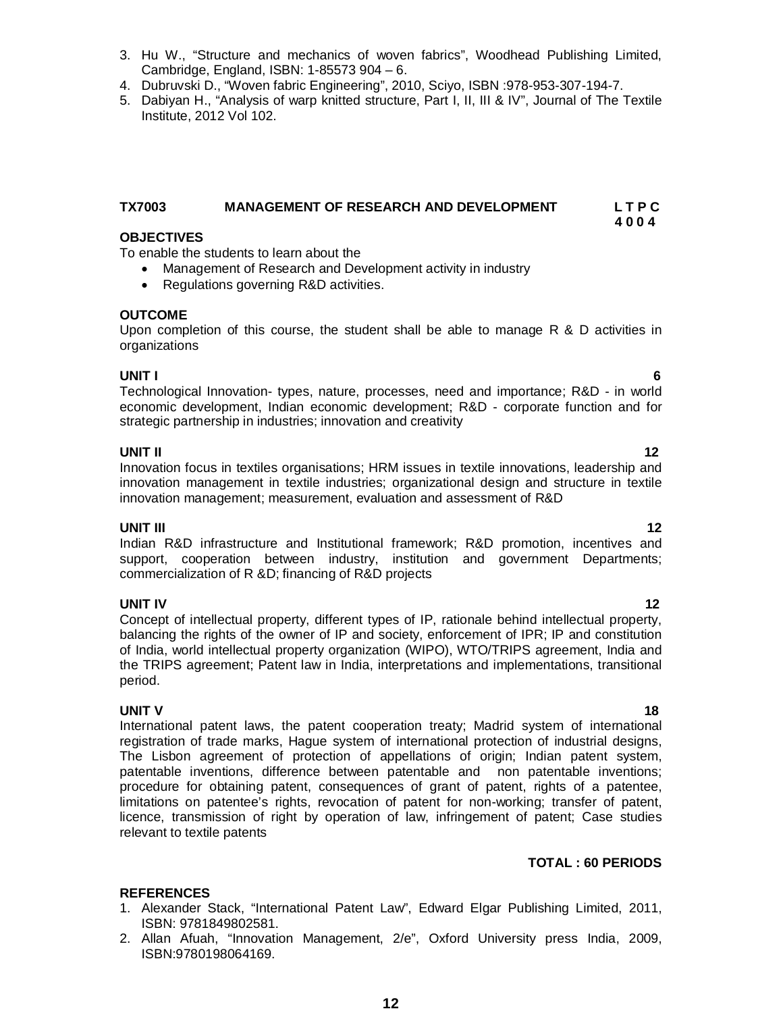- 3. Hu W., "Structure and mechanics of woven fabrics", Woodhead Publishing Limited, Cambridge, England, ISBN: 1-85573 904 – 6.
- 4. Dubruvski D., "Woven fabric Engineering", 2010, Sciyo, ISBN :978-953-307-194-7.
- 5. Dabiyan H., "Analysis of warp knitted structure, Part I, II, III & IV", Journal of The Textile Institute, 2012 Vol 102.

# **TX7003 MANAGEMENT OF RESEARCH AND DEVELOPMENT L T P C**

### **4 0 0 4 OBJECTIVES**

To enable the students to learn about the

- Management of Research and Development activity in industry
- Regulations governing R&D activities.

# **OUTCOME**

Upon completion of this course, the student shall be able to manage R & D activities in organizations

# **UNIT I 6**

Technological Innovation- types, nature, processes, need and importance; R&D - in world economic development, Indian economic development; R&D - corporate function and for strategic partnership in industries; innovation and creativity

**UNIT II** 12 Innovation focus in textiles organisations; HRM issues in textile innovations, leadership and innovation management in textile industries; organizational design and structure in textile innovation management; measurement, evaluation and assessment of R&D

# **UNIT III** 12

Indian R&D infrastructure and Institutional framework; R&D promotion, incentives and support, cooperation between industry, institution and government Departments; commercialization of R &D; financing of R&D projects

**UNIT IV** 12 Concept of intellectual property, different types of IP, rationale behind intellectual property, balancing the rights of the owner of IP and society, enforcement of IPR; IP and constitution of India, world intellectual property organization (WIPO), WTO/TRIPS agreement, India and the TRIPS agreement; Patent law in India, interpretations and implementations, transitional period.

### **UNIT V** 18

International patent laws, the patent cooperation treaty; Madrid system of international registration of trade marks, Hague system of international protection of industrial designs, The Lisbon agreement of protection of appellations of origin; Indian patent system, patentable inventions, difference between patentable and non patentable inventions; procedure for obtaining patent, consequences of grant of patent, rights of a patentee, limitations on patentee's rights, revocation of patent for non-working; transfer of patent, licence, transmission of right by operation of law, infringement of patent; Case studies relevant to textile patents

# **TOTAL : 60 PERIODS**

- 1. Alexander Stack, "International Patent Law", Edward Elgar Publishing Limited, 2011, ISBN: 9781849802581.
- 2. Allan Afuah, "Innovation Management, 2/e", Oxford University press India, 2009, ISBN:9780198064169.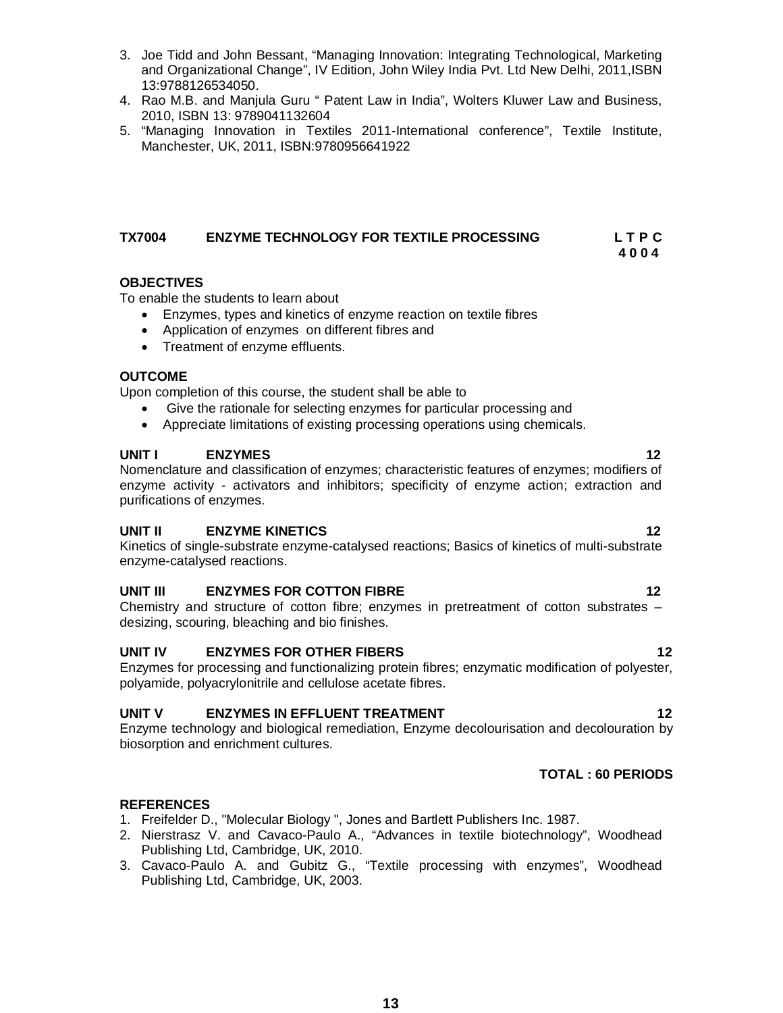- 3. Joe Tidd and John Bessant, "Managing Innovation: Integrating Technological, Marketing and Organizational Change", IV Edition, John Wiley India Pvt. Ltd New Delhi, 2011,ISBN 13:9788126534050.
- 4. Rao M.B. and Manjula Guru " Patent Law in India", Wolters Kluwer Law and Business, 2010, ISBN 13: 9789041132604
- 5. "Managing Innovation in Textiles 2011-International conference", Textile Institute, Manchester, UK, 2011, ISBN:9780956641922

# **TX7004 ENZYME TECHNOLOGY FOR TEXTILE PROCESSING L T P C**

 **4 0 0 4**

# **OBJECTIVES**

To enable the students to learn about

- Enzymes, types and kinetics of enzyme reaction on textile fibres
- Application of enzymes on different fibres and
- Treatment of enzyme effluents.

# **OUTCOME**

Upon completion of this course, the student shall be able to

- Give the rationale for selecting enzymes for particular processing and
- Appreciate limitations of existing processing operations using chemicals.

# **UNIT I** ENZYMES 12

Nomenclature and classification of enzymes; characteristic features of enzymes; modifiers of enzyme activity - activators and inhibitors; specificity of enzyme action; extraction and purifications of enzymes.

# **UNIT II ENZYME KINETICS 12**

Kinetics of single-substrate enzyme-catalysed reactions; Basics of kinetics of multi-substrate enzyme-catalysed reactions.

# **UNIT III ENZYMES FOR COTTON FIBRE** 12

Chemistry and structure of cotton fibre; enzymes in pretreatment of cotton substrates – desizing, scouring, bleaching and bio finishes.

# **UNIT IV ENZYMES FOR OTHER FIBERS 12**

Enzymes for processing and functionalizing protein fibres; enzymatic modification of polyester, polyamide, polyacrylonitrile and cellulose acetate fibres.

# **UNIT V ENZYMES IN EFFLUENT TREATMENT 12**

Enzyme technology and biological remediation, Enzyme decolourisation and decolouration by biosorption and enrichment cultures.

# **TOTAL : 60 PERIODS**

- 1. Freifelder D., "Molecular Biology ", Jones and Bartlett Publishers Inc. 1987.
- 2. Nierstrasz V. and Cavaco-Paulo A., "Advances in textile biotechnology", Woodhead Publishing Ltd, Cambridge, UK, 2010.
- 3. Cavaco-Paulo A. and Gubitz G., "Textile processing with enzymes", Woodhead Publishing Ltd, Cambridge, UK, 2003.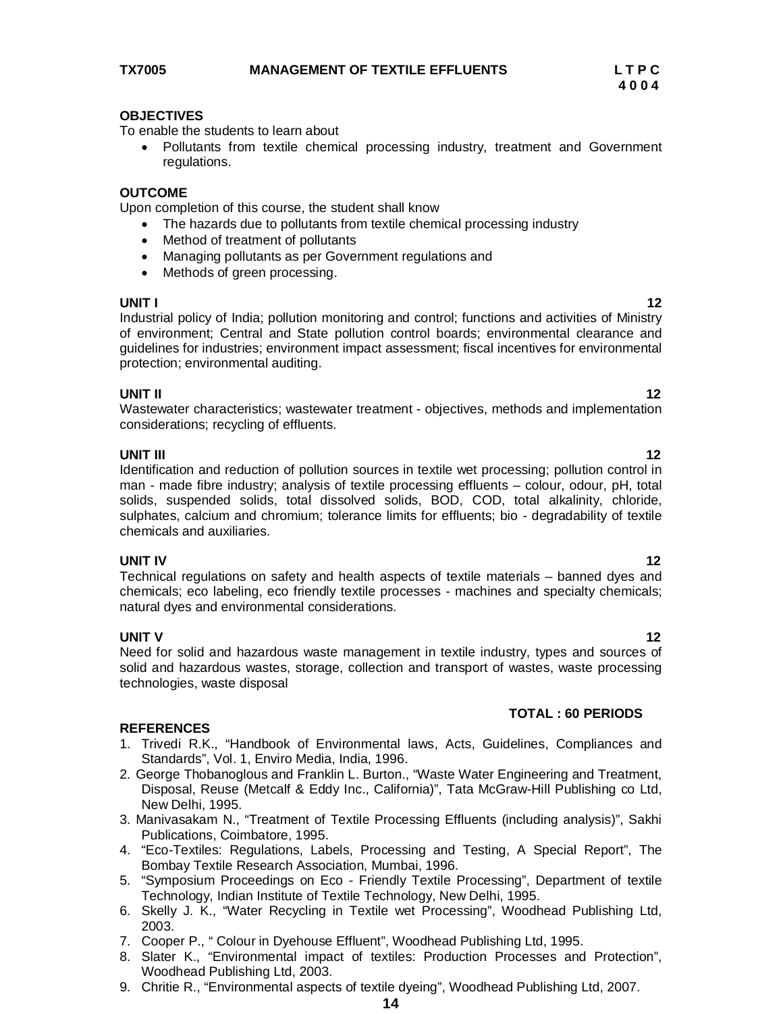To enable the students to learn about

 Pollutants from textile chemical processing industry, treatment and Government regulations.

### **OUTCOME**

Upon completion of this course, the student shall know

- The hazards due to pollutants from textile chemical processing industry
- Method of treatment of pollutants
- Managing pollutants as per Government regulations and
- Methods of green processing.

**UNIT I 12** Industrial policy of India; pollution monitoring and control; functions and activities of Ministry of environment; Central and State pollution control boards; environmental clearance and guidelines for industries; environment impact assessment; fiscal incentives for environmental protection; environmental auditing.

### **UNIT II** 12

Wastewater characteristics; wastewater treatment - objectives, methods and implementation considerations; recycling of effluents.

### **UNIT III** 12

Identification and reduction of pollution sources in textile wet processing; pollution control in man - made fibre industry; analysis of textile processing effluents – colour, odour, pH, total solids, suspended solids, total dissolved solids, BOD, COD, total alkalinity, chloride, sulphates, calcium and chromium; tolerance limits for effluents; bio - degradability of textile chemicals and auxiliaries.

### **UNIT IV** 12

Technical regulations on safety and health aspects of textile materials – banned dyes and chemicals; eco labeling, eco friendly textile processes - machines and specialty chemicals; natural dyes and environmental considerations.

**UNIT V** 12 Need for solid and hazardous waste management in textile industry, types and sources of solid and hazardous wastes, storage, collection and transport of wastes, waste processing technologies, waste disposal

### **REFERENCES**

- 1. Trivedi R.K., "Handbook of Environmental laws, Acts, Guidelines, Compliances and Standards", Vol. 1, Enviro Media, India, 1996.
- 2. George Thobanoglous and Franklin L. Burton., "Waste Water Engineering and Treatment, Disposal, Reuse (Metcalf & Eddy Inc., California)", Tata McGraw-Hill Publishing co Ltd, New Delhi, 1995.
- 3. Manivasakam N., "Treatment of Textile Processing Effluents (including analysis)", Sakhi Publications, Coimbatore, 1995.
- 4. "Eco-Textiles: Regulations, Labels, Processing and Testing, A Special Report", The Bombay Textile Research Association, Mumbai, 1996.
- 5. "Symposium Proceedings on Eco Friendly Textile Processing", Department of textile Technology, Indian Institute of Textile Technology, New Delhi, 1995.
- 6. Skelly J. K., "Water Recycling in Textile wet Processing", Woodhead Publishing Ltd, 2003.
- 7. Cooper P., " Colour in Dyehouse Effluent", Woodhead Publishing Ltd, 1995.
- 8. Slater K., "Environmental impact of textiles: Production Processes and Protection", Woodhead Publishing Ltd, 2003.
- 9. Chritie R., "Environmental aspects of textile dyeing", Woodhead Publishing Ltd, 2007.

**14**

# **TOTAL : 60 PERIODS**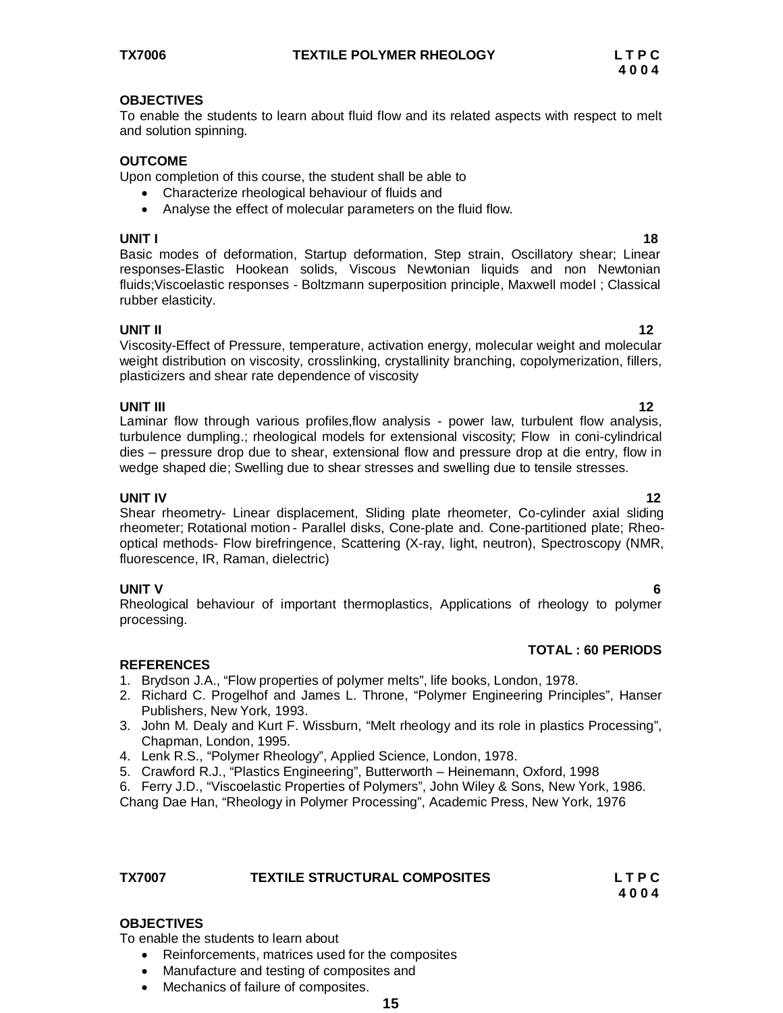To enable the students to learn about fluid flow and its related aspects with respect to melt and solution spinning.

# **OUTCOME**

Upon completion of this course, the student shall be able to

- Characterize rheological behaviour of fluids and
- Analyse the effect of molecular parameters on the fluid flow.

# **UNIT I** 1888 **1889**

Basic modes of deformation, Startup deformation, Step strain, Oscillatory shear; Linear responses-Elastic Hookean solids, Viscous Newtonian liquids and non Newtonian fluids;Viscoelastic responses - Boltzmann superposition principle, Maxwell model ; Classical rubber elasticity.

# **UNIT II** 12

Viscosity-Effect of Pressure, temperature, activation energy, molecular weight and molecular weight distribution on viscosity, crosslinking, crystallinity branching, copolymerization, fillers, plasticizers and shear rate dependence of viscosity

**UNIT III** 12 Laminar flow through various profiles,flow analysis - power law, turbulent flow analysis, turbulence dumpling.; rheological models for extensional viscosity; Flow in coni-cylindrical dies – pressure drop due to shear, extensional flow and pressure drop at die entry, flow in wedge shaped die; Swelling due to shear stresses and swelling due to tensile stresses.

# **UNIT IV** 12

Shear rheometry- Linear displacement, Sliding plate rheometer, Co-cylinder axial sliding rheometer; Rotational motion - Parallel disks, Cone-plate and*.* Cone-partitioned plate; Rheooptical methods- Flow birefringence, Scattering (X-ray, light, neutron), Spectroscopy (NMR, fluorescence, IR, Raman, dielectric)

# **UNIT V 6**

Rheological behaviour of important thermoplastics, Applications of rheology to polymer processing.

# **TOTAL : 60 PERIODS**

# **REFERENCES**

- 1. Brydson J.A., "Flow properties of polymer melts", life books, London, 1978.
- 2. Richard C. Progelhof and James L. Throne, "Polymer Engineering Principles", Hanser Publishers, New York, 1993.
- 3. John M. Dealy and Kurt F. Wissburn, "Melt rheology and its role in plastics Processing", Chapman, London, 1995.
- 4. Lenk R.S., "Polymer Rheology", Applied Science, London, 1978.
- 5. Crawford R.J., "Plastics Engineering", Butterworth Heinemann, Oxford, 1998
- 6. Ferry J.D., "Viscoelastic Properties of Polymers", John Wiley & Sons, New York, 1986.

Chang Dae Han, "Rheology in Polymer Processing", Academic Press, New York, 1976

| <b>TX7007</b> | <b>TEXTILE STRUCTURAL COMPOSITES</b> | LTPC |
|---------------|--------------------------------------|------|
|               |                                      | 4004 |

**15**

# **OBJECTIVES**

To enable the students to learn about

- Reinforcements, matrices used for the composites
- Manufacture and testing of composites and
- Mechanics of failure of composites.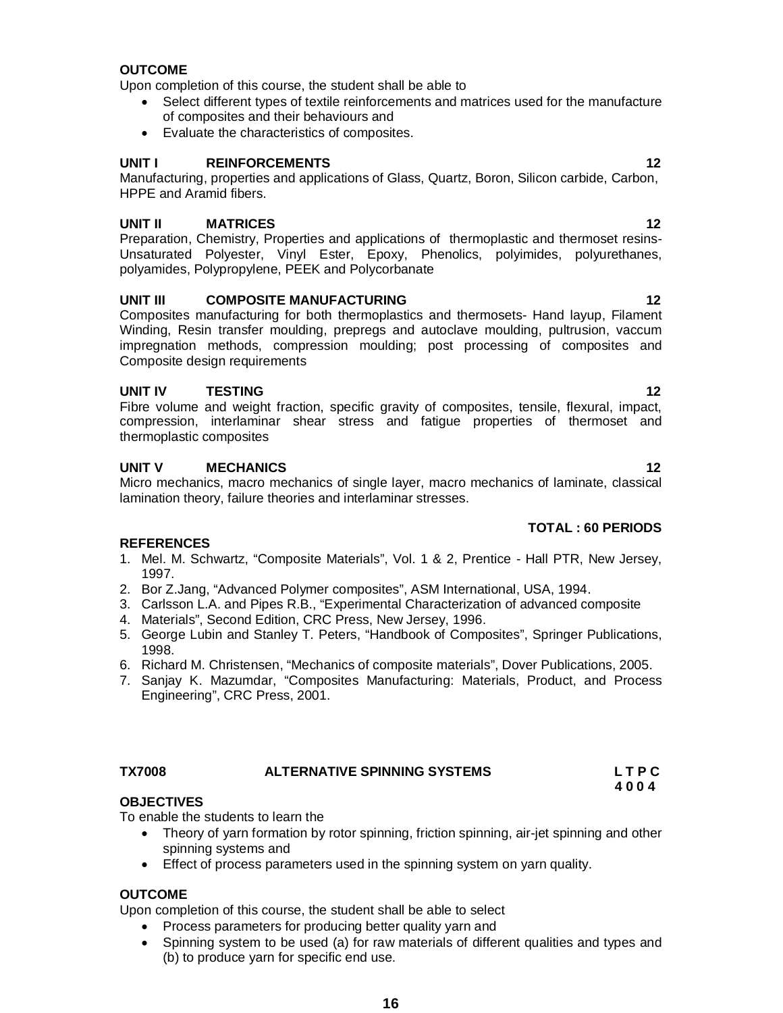Upon completion of this course, the student shall be able to select

- Process parameters for producing better quality yarn and
- Spinning system to be used (a) for raw materials of different qualities and types and (b) to produce yarn for specific end use.

# **OUTCOME**

Upon completion of this course, the student shall be able to

- Select different types of textile reinforcements and matrices used for the manufacture of composites and their behaviours and
- Evaluate the characteristics of composites.

# **UNIT I REINFORCEMENTS 12**

Manufacturing, properties and applications of Glass, Quartz, Boron, Silicon carbide, Carbon, HPPE and Aramid fibers.

# **UNIT II MATRICES 12**

Preparation, Chemistry, Properties and applications of thermoplastic and thermoset resins-Unsaturated Polyester, Vinyl Ester, Epoxy, Phenolics, polyimides, polyurethanes, polyamides, Polypropylene, PEEK and Polycorbanate

# **UNIT III COMPOSITE MANUFACTURING 12**

Composites manufacturing for both thermoplastics and thermosets- Hand layup, Filament Winding, Resin transfer moulding, prepregs and autoclave moulding, pultrusion, vaccum impregnation methods, compression moulding; post processing of composites and Composite design requirements

# **UNIT IV TESTING 12**

Fibre volume and weight fraction, specific gravity of composites, tensile, flexural, impact, compression, interlaminar shear stress and fatigue properties of thermoset and thermoplastic composites

# **UNIT V MECHANICS 12**

Micro mechanics, macro mechanics of single layer, macro mechanics of laminate, classical lamination theory, failure theories and interlaminar stresses.

# **TOTAL : 60 PERIODS**

# **REFERENCES**

- 1. Mel. M. Schwartz, "Composite Materials", Vol. 1 & 2, Prentice Hall PTR, New Jersey, 1997.
- 2. Bor Z.Jang, "Advanced Polymer composites", ASM International, USA, 1994.
- 3. Carlsson L.A. and Pipes R.B., "Experimental Characterization of advanced composite
- 4. Materials", Second Edition, CRC Press, New Jersey, 1996.
- 5. George Lubin and Stanley T. Peters, "Handbook of Composites", Springer Publications, 1998.
- 6. Richard M. Christensen, "Mechanics of composite materials", Dover Publications, 2005.
- 7. Sanjay K. Mazumdar, "Composites Manufacturing: Materials, Product, and Process Engineering", CRC Press, 2001.

# **OBJECTIVES**

To enable the students to learn the

- Theory of yarn formation by rotor spinning, friction spinning, air-jet spinning and other spinning systems and
- Effect of process parameters used in the spinning system on yarn quality.

# **OUTCOME**

# **TX7008 ALTERNATIVE SPINNING SYSTEMS L T P C 4 0 0 4**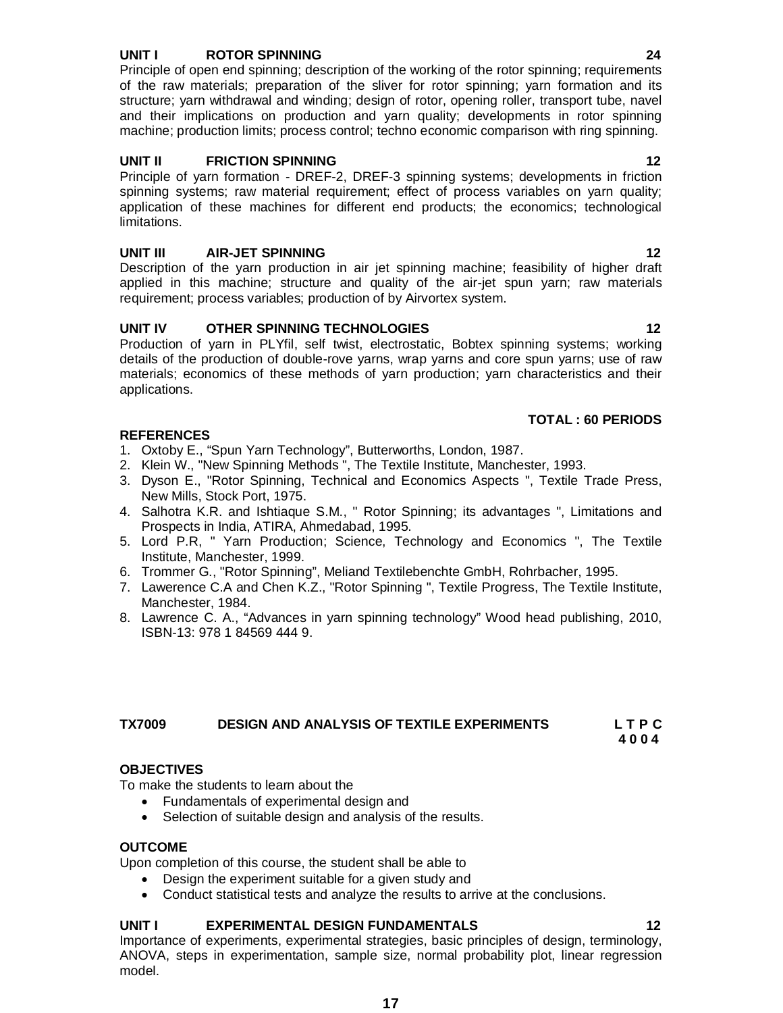### **UNIT I ROTOR SPINNING 24**

Principle of open end spinning; description of the working of the rotor spinning; requirements of the raw materials; preparation of the sliver for rotor spinning; yarn formation and its structure; yarn withdrawal and winding; design of rotor, opening roller, transport tube, navel and their implications on production and yarn quality; developments in rotor spinning machine; production limits; process control; techno economic comparison with ring spinning.

# **UNIT II FRICTION SPINNING 12**

Principle of yarn formation - DREF-2, DREF-3 spinning systems; developments in friction spinning systems; raw material requirement; effect of process variables on yarn quality; application of these machines for different end products; the economics; technological limitations.

# **UNIT III AIR-JET SPINNING 12**

Description of the yarn production in air jet spinning machine; feasibility of higher draft applied in this machine; structure and quality of the air-jet spun yarn; raw materials requirement; process variables; production of by Airvortex system.

# **UNIT IV OTHER SPINNING TECHNOLOGIES 12**

Production of yarn in PLYfil, self twist, electrostatic, Bobtex spinning systems; working details of the production of double-rove yarns, wrap yarns and core spun yarns; use of raw materials; economics of these methods of yarn production; yarn characteristics and their applications.

# **REFERENCES**

- 1. Oxtoby E., "Spun Yarn Technology", Butterworths, London, 1987.
- 2. Klein W., "New Spinning Methods ", The Textile Institute, Manchester, 1993.
- 3. Dyson E., "Rotor Spinning, Technical and Economics Aspects ", Textile Trade Press, New Mills, Stock Port, 1975.
- 4. Salhotra K.R. and Ishtiaque S.M., " Rotor Spinning; its advantages ", Limitations and Prospects in India, ATIRA, Ahmedabad, 1995.
- 5. Lord P.R, " Yarn Production; Science, Technology and Economics ", The Textile Institute, Manchester, 1999.
- 6. Trommer G., "Rotor Spinning", Meliand Textilebenchte GmbH, Rohrbacher, 1995.
- 7. Lawerence C.A and Chen K.Z., "Rotor Spinning ", Textile Progress, The Textile Institute, Manchester, 1984.
- 8. Lawrence C. A., "Advances in yarn spinning technology" Wood head publishing, 2010, ISBN-13: 978 1 84569 444 9.

### **TX7009 DESIGN AND ANALYSIS OF TEXTILE EXPERIMENTS L T P C 4 0 0 4**

### **OBJECTIVES**

To make the students to learn about the

- Fundamentals of experimental design and
- Selection of suitable design and analysis of the results.

# **OUTCOME**

Upon completion of this course, the student shall be able to

- Design the experiment suitable for a given study and
	- Conduct statistical tests and analyze the results to arrive at the conclusions.

### **UNIT I EXPERIMENTAL DESIGN FUNDAMENTALS 12**

Importance of experiments, experimental strategies, basic principles of design, terminology, ANOVA, steps in experimentation, sample size, normal probability plot, linear regression model.

**TOTAL : 60 PERIODS**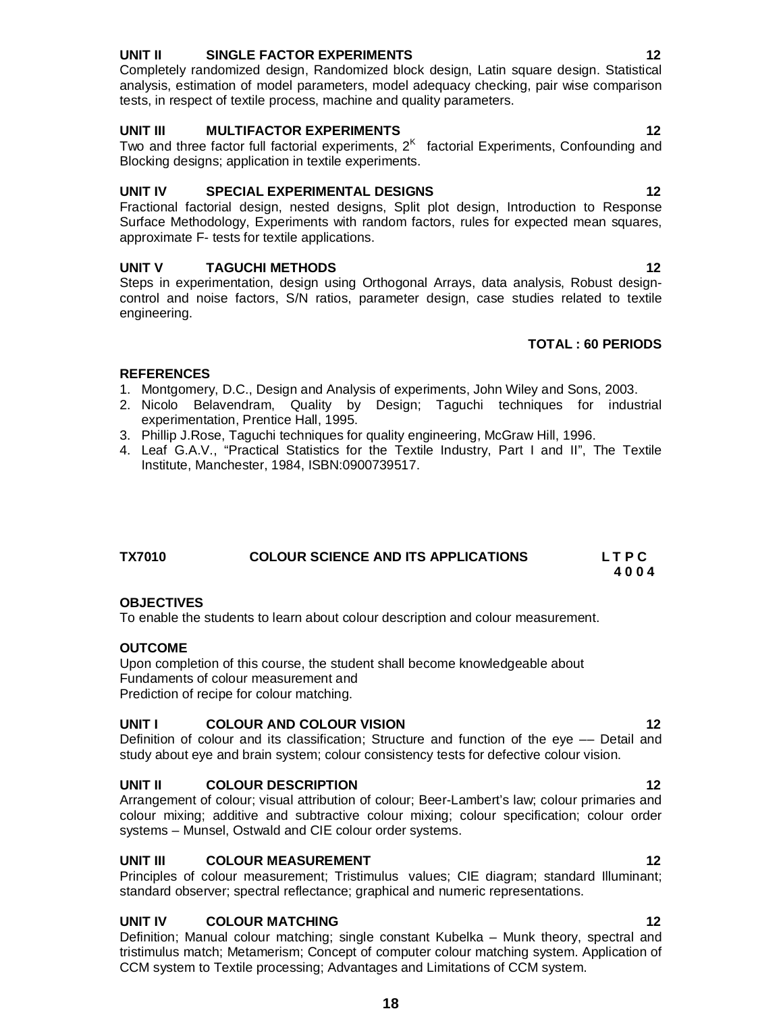# **UNIT II SINGLE FACTOR EXPERIMENTS 12**

Completely randomized design, Randomized block design, Latin square design. Statistical analysis, estimation of model parameters, model adequacy checking, pair wise comparison tests, in respect of textile process, machine and quality parameters.

### **UNIT III MULTIFACTOR EXPERIMENTS 12**

Two and three factor full factorial experiments,  $2<sup>K</sup>$  factorial Experiments, Confounding and Blocking designs; application in textile experiments.

# **UNIT IV SPECIAL EXPERIMENTAL DESIGNS 12**

Fractional factorial design, nested designs, Split plot design, Introduction to Response Surface Methodology, Experiments with random factors, rules for expected mean squares, approximate F- tests for textile applications.

# **UNIT V TAGUCHI METHODS 12**

Steps in experimentation, design using Orthogonal Arrays, data analysis, Robust designcontrol and noise factors, S/N ratios, parameter design, case studies related to textile engineering.

# **TOTAL : 60 PERIODS**

# **REFERENCES**

- 1. Montgomery, D.C., Design and Analysis of experiments, John Wiley and Sons, 2003.
- 2. Nicolo Belavendram, Quality by Design; Taguchi techniques for industrial experimentation, Prentice Hall, 1995.
- 3. Phillip J.Rose, Taguchi techniques for quality engineering, McGraw Hill, 1996.
- 4. Leaf G.A.V., "Practical Statistics for the Textile Industry, Part I and II", The Textile Institute, Manchester, 1984, ISBN:0900739517.

# **TX7010 COLOUR SCIENCE AND ITS APPLICATIONS L T P C 4 0 0 4**

# **OBJECTIVES**

To enable the students to learn about colour description and colour measurement.

# **OUTCOME**

Upon completion of this course, the student shall become knowledgeable about Fundaments of colour measurement and Prediction of recipe for colour matching.

# **UNIT I COLOUR AND COLOUR VISION 12**

Definition of colour and its classification; Structure and function of the eye –– Detail and study about eye and brain system; colour consistency tests for defective colour vision.

# **UNIT II COLOUR DESCRIPTION 12**

Arrangement of colour; visual attribution of colour; Beer-Lambert's law; colour primaries and colour mixing; additive and subtractive colour mixing; colour specification; colour order systems – Munsel, Ostwald and CIE colour order systems.

# **UNIT III** COLOUR MEASUREMENT 12

Principles of colour measurement; Tristimulus values; CIE diagram; standard Illuminant; standard observer; spectral reflectance; graphical and numeric representations.

# **UNIT IV COLOUR MATCHING** 12

Definition; Manual colour matching; single constant Kubelka – Munk theory, spectral and tristimulus match; Metamerism; Concept of computer colour matching system. Application of CCM system to Textile processing; Advantages and Limitations of CCM system.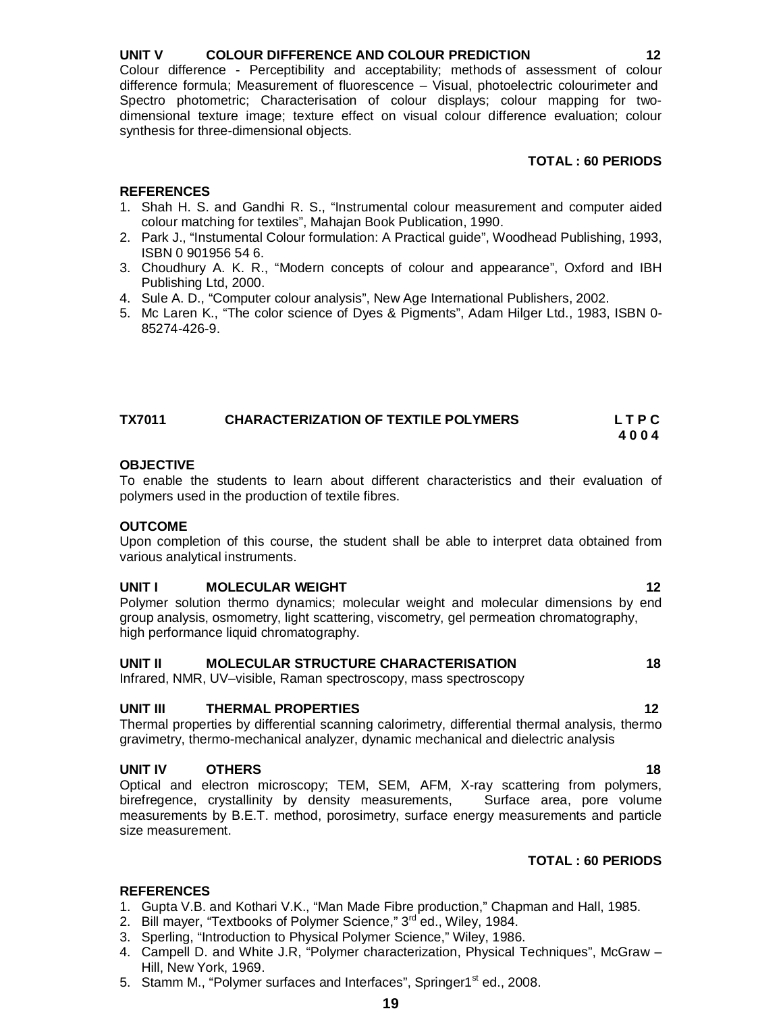Colour difference - Perceptibility and acceptability; methods of assessment of colour difference formula; Measurement of fluorescence – Visual, photoelectric colourimeter and Spectro photometric; Characterisation of colour displays; colour mapping for twodimensional texture image; texture effect on visual colour difference evaluation; colour synthesis for three-dimensional objects.

# **TOTAL : 60 PERIODS**

# **REFERENCES**

- 1. Shah H. S. and Gandhi R. S., "Instrumental colour measurement and computer aided colour matching for textiles", Mahajan Book Publication, 1990.
- 2. Park J., "Instumental Colour formulation: A Practical guide", Woodhead Publishing, 1993, ISBN 0 901956 54 6.
- 3. Choudhury A. K. R., "Modern concepts of colour and appearance", Oxford and IBH Publishing Ltd, 2000.
- 4. Sule A. D., "Computer colour analysis", New Age International Publishers, 2002.
- 5. Mc Laren K., "The color science of Dyes & Pigments", Adam Hilger Ltd., 1983, ISBN 0- 85274-426-9.

| <b>TX7011</b> | <b>CHARACTERIZATION OF TEXTILE POLYMERS</b> | LTPC |
|---------------|---------------------------------------------|------|
|               |                                             | 4004 |

# **OBJECTIVE**

To enable the students to learn about different characteristics and their evaluation of polymers used in the production of textile fibres.

# **OUTCOME**

Upon completion of this course, the student shall be able to interpret data obtained from various analytical instruments.

# **UNIT I** MOLECULAR WEIGHT **12**

Polymer solution thermo dynamics; molecular weight and molecular dimensions by end group analysis, osmometry, light scattering, viscometry, gel permeation chromatography, high performance liquid chromatography.

# **UNIT II MOLECULAR STRUCTURE CHARACTERISATION 18**

Infrared, NMR, UV–visible, Raman spectroscopy, mass spectroscopy

### **UNIT III THERMAL PROPERTIES 12**

Thermal properties by differential scanning calorimetry, differential thermal analysis, thermo gravimetry, thermo-mechanical analyzer, dynamic mechanical and dielectric analysis

# **UNIT IV OTHERS 18**

Optical and electron microscopy; TEM, SEM, AFM, X-ray scattering from polymers, birefregence, crystallinity by density measurements, Surface area, pore volume measurements by B.E.T. method, porosimetry, surface energy measurements and particle size measurement.

# **TOTAL : 60 PERIODS**

- 1. Gupta V.B. and Kothari V.K., "Man Made Fibre production," Chapman and Hall, 1985.
- 2. Bill mayer, "Textbooks of Polymer Science," 3<sup>rd</sup> ed., Wiley, 1984.
- 3. Sperling, "Introduction to Physical Polymer Science," Wiley, 1986.
- 4. Campell D. and White J.R, "Polymer characterization, Physical Techniques", McGraw Hill, New York, 1969.
- 5. Stamm M., "Polymer surfaces and Interfaces", Springer1<sup>st</sup> ed., 2008.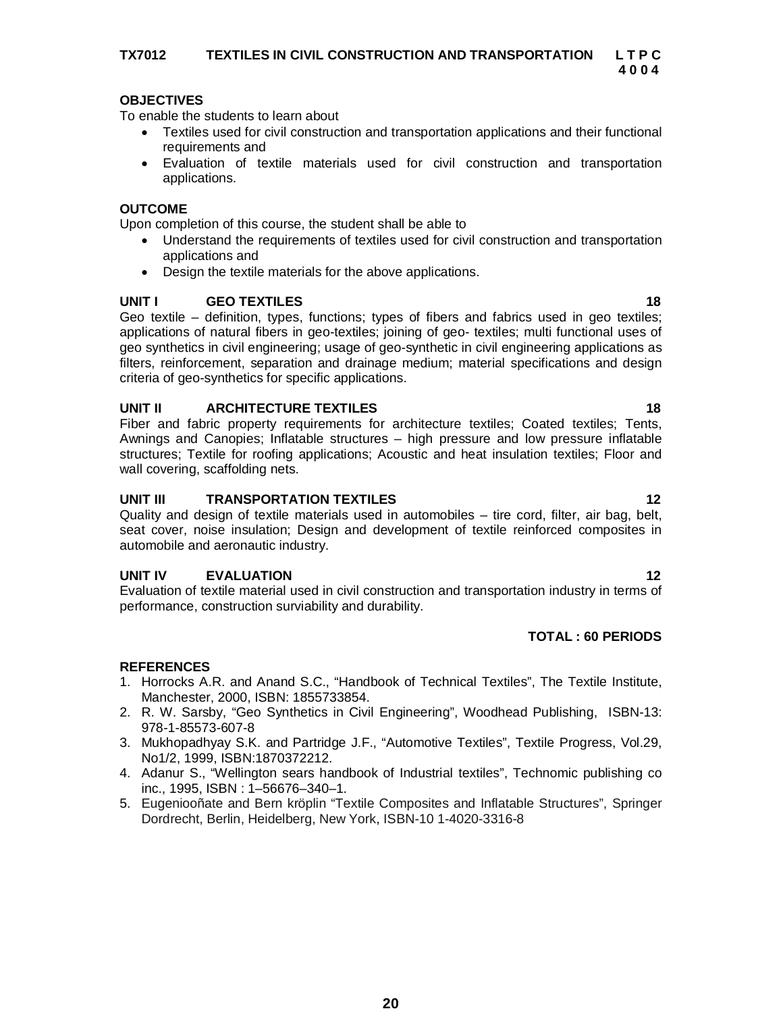To enable the students to learn about

- Textiles used for civil construction and transportation applications and their functional requirements and
- Evaluation of textile materials used for civil construction and transportation applications.

# **OUTCOME**

Upon completion of this course, the student shall be able to

- Understand the requirements of textiles used for civil construction and transportation applications and
- Design the textile materials for the above applications.

# **UNIT I GEO TEXTILES 18**

Geo textile – definition, types, functions; types of fibers and fabrics used in geo textiles; applications of natural fibers in geo-textiles; joining of geo- textiles; multi functional uses of geo synthetics in civil engineering; usage of geo-synthetic in civil engineering applications as filters, reinforcement, separation and drainage medium; material specifications and design criteria of geo-synthetics for specific applications.

# **UNIT II ARCHITECTURE TEXTILES 18**

Fiber and fabric property requirements for architecture textiles; Coated textiles; Tents, Awnings and Canopies; Inflatable structures – high pressure and low pressure inflatable structures; Textile for roofing applications; Acoustic and heat insulation textiles; Floor and wall covering, scaffolding nets.

# **UNIT III TRANSPORTATION TEXTILES 12**

Quality and design of textile materials used in automobiles – tire cord, filter, air bag, belt, seat cover, noise insulation; Design and development of textile reinforced composites in automobile and aeronautic industry.

# **UNIT IV EVALUATION 12**

Evaluation of textile material used in civil construction and transportation industry in terms of performance, construction surviability and durability.

# **TOTAL : 60 PERIODS**

- 1. Horrocks A.R. and Anand S.C., "Handbook of Technical Textiles", The Textile Institute, Manchester, 2000, ISBN: 1855733854.
- 2. R. W. Sarsby, "Geo Synthetics in Civil Engineering", Woodhead Publishing, ISBN-13: 978-1-85573-607-8
- 3. Mukhopadhyay S.K. and Partridge J.F., "Automotive Textiles", Textile Progress, Vol.29, No1/2, 1999, ISBN:1870372212.
- 4. Adanur S., "Wellington sears handbook of Industrial textiles", Technomic publishing co inc., 1995, ISBN : 1–56676–340–1.
- 5. Eugeniooñate and Bern kröplin "Textile Composites and Inflatable Structures", Springer Dordrecht, Berlin, Heidelberg, New York, ISBN-10 1-4020-3316-8